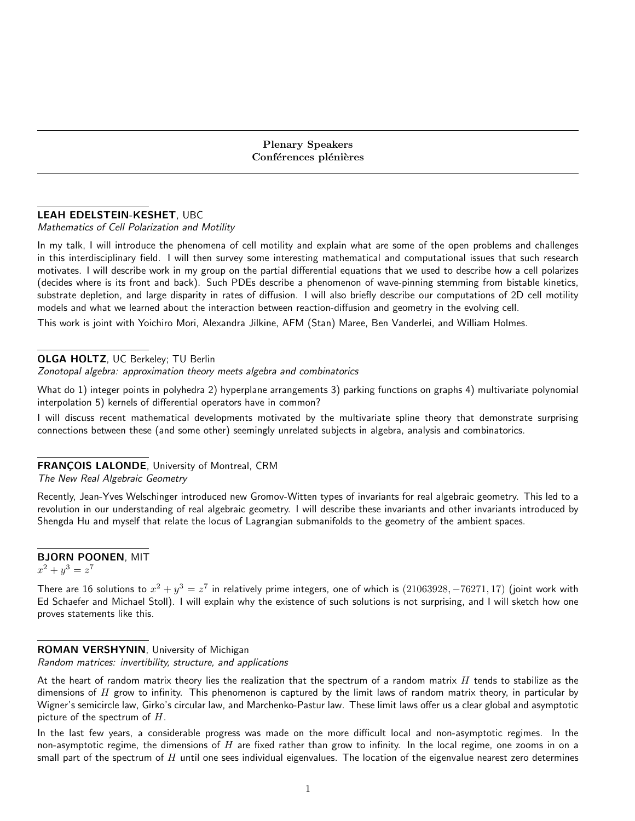## LEAH EDELSTEIN-KESHET, UBC

Mathematics of Cell Polarization and Motility

In my talk, I will introduce the phenomena of cell motility and explain what are some of the open problems and challenges in this interdisciplinary field. I will then survey some interesting mathematical and computational issues that such research motivates. I will describe work in my group on the partial differential equations that we used to describe how a cell polarizes (decides where is its front and back). Such PDEs describe a phenomenon of wave-pinning stemming from bistable kinetics, substrate depletion, and large disparity in rates of diffusion. I will also briefly describe our computations of 2D cell motility models and what we learned about the interaction between reaction-diffusion and geometry in the evolving cell.

This work is joint with Yoichiro Mori, Alexandra Jilkine, AFM (Stan) Maree, Ben Vanderlei, and William Holmes.

### OLGA HOLTZ, UC Berkeley; TU Berlin

Zonotopal algebra: approximation theory meets algebra and combinatorics

What do 1) integer points in polyhedra 2) hyperplane arrangements 3) parking functions on graphs 4) multivariate polynomial interpolation 5) kernels of differential operators have in common?

I will discuss recent mathematical developments motivated by the multivariate spline theory that demonstrate surprising connections between these (and some other) seemingly unrelated subjects in algebra, analysis and combinatorics.

# FRANÇOIS LALONDE, University of Montreal, CRM

The New Real Algebraic Geometry

Recently, Jean-Yves Welschinger introduced new Gromov-Witten types of invariants for real algebraic geometry. This led to a revolution in our understanding of real algebraic geometry. I will describe these invariants and other invariants introduced by Shengda Hu and myself that relate the locus of Lagrangian submanifolds to the geometry of the ambient spaces.

### BJORN POONEN, MIT

 $x^2 + y^3 = z^7$ 

There are 16 solutions to  $x^2 + y^3 = z^7$  in relatively prime integers, one of which is  $(21063928, -76271, 17)$  (joint work with Ed Schaefer and Michael Stoll). I will explain why the existence of such solutions is not surprising, and I will sketch how one proves statements like this.

## ROMAN VERSHYNIN, University of Michigan

Random matrices: invertibility, structure, and applications

At the heart of random matrix theory lies the realization that the spectrum of a random matrix  $H$  tends to stabilize as the dimensions of  $H$  grow to infinity. This phenomenon is captured by the limit laws of random matrix theory, in particular by Wigner's semicircle law, Girko's circular law, and Marchenko-Pastur law. These limit laws offer us a clear global and asymptotic picture of the spectrum of  $H$ .

In the last few years, a considerable progress was made on the more difficult local and non-asymptotic regimes. In the non-asymptotic regime, the dimensions of  $H$  are fixed rather than grow to infinity. In the local regime, one zooms in on a small part of the spectrum of  $H$  until one sees individual eigenvalues. The location of the eigenvalue nearest zero determines